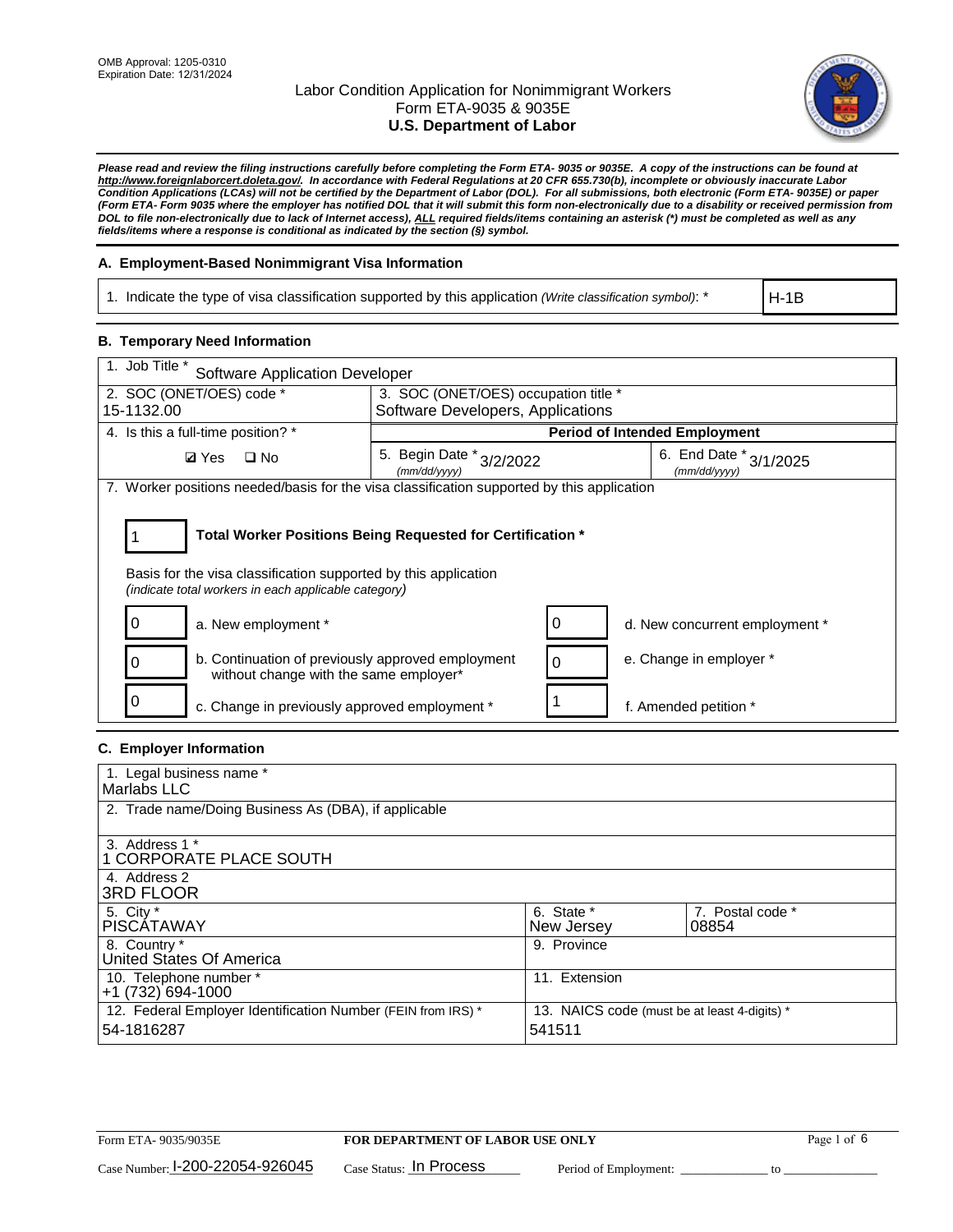

*Please read and review the filing instructions carefully before completing the Form ETA- 9035 or 9035E. A copy of the instructions can be found at http://www.foreignlaborcert.doleta.gov/. In accordance with Federal Regulations at 20 CFR 655.730(b), incomplete or obviously inaccurate Labor Condition Applications (LCAs) will not be certified by the Department of Labor (DOL). For all submissions, both electronic (Form ETA- 9035E) or paper (Form ETA- Form 9035 where the employer has notified DOL that it will submit this form non-electronically due to a disability or received permission from DOL to file non-electronically due to lack of Internet access), ALL required fields/items containing an asterisk (\*) must be completed as well as any fields/items where a response is conditional as indicated by the section (§) symbol.* 

### **A. Employment-Based Nonimmigrant Visa Information**

1. Indicate the type of visa classification supported by this application *(Write classification symbol)*: \*

H-1B

### **B. Temporary Need Information**

| 1. Job Title *<br><b>Software Application Developer</b>                                                                                                                               |                                                                                            |                                      |  |  |  |
|---------------------------------------------------------------------------------------------------------------------------------------------------------------------------------------|--------------------------------------------------------------------------------------------|--------------------------------------|--|--|--|
| 2. SOC (ONET/OES) code *                                                                                                                                                              |                                                                                            | 3. SOC (ONET/OES) occupation title * |  |  |  |
| 15-1132.00                                                                                                                                                                            | Software Developers, Applications                                                          |                                      |  |  |  |
| 4. Is this a full-time position? *                                                                                                                                                    |                                                                                            | <b>Period of Intended Employment</b> |  |  |  |
| $\Box$ No<br><b>Ø</b> Yes                                                                                                                                                             | 5. Begin Date $*_{3/2/2022}$<br>6. End Date $*_{3/1/2025}$<br>(mm/dd/yyyy)<br>(mm/dd/yyyy) |                                      |  |  |  |
| 7. Worker positions needed/basis for the visa classification supported by this application                                                                                            |                                                                                            |                                      |  |  |  |
| Total Worker Positions Being Requested for Certification *<br>Basis for the visa classification supported by this application<br>(indicate total workers in each applicable category) |                                                                                            |                                      |  |  |  |
| a. New employment *                                                                                                                                                                   |                                                                                            | d. New concurrent employment *       |  |  |  |
| b. Continuation of previously approved employment<br>0<br>without change with the same employer*                                                                                      | 0                                                                                          | e. Change in employer *              |  |  |  |
| c. Change in previously approved employment *                                                                                                                                         |                                                                                            | f. Amended petition *                |  |  |  |

### **C. Employer Information**

| 1. Legal business name *                                     |                                              |                  |
|--------------------------------------------------------------|----------------------------------------------|------------------|
| Marlabs LLC                                                  |                                              |                  |
| 2. Trade name/Doing Business As (DBA), if applicable         |                                              |                  |
|                                                              |                                              |                  |
| 3. Address 1 *                                               |                                              |                  |
| <b>1 CORPORATE PLACE SOUTH</b>                               |                                              |                  |
| 4. Address 2                                                 |                                              |                  |
| <b>3RD FLOOR</b>                                             |                                              |                  |
| 5. City *                                                    | 6. State *                                   | 7. Postal code * |
| <b>PISCÁTAWAY</b>                                            | New Jersey                                   | 08854            |
| 8. Country *                                                 | 9. Province                                  |                  |
| United States Of America                                     |                                              |                  |
| 10. Telephone number *                                       | 11. Extension                                |                  |
| +1 (732) 694-1000                                            |                                              |                  |
| 12. Federal Employer Identification Number (FEIN from IRS) * | 13. NAICS code (must be at least 4-digits) * |                  |
| 54-1816287                                                   | 541511                                       |                  |
|                                                              |                                              |                  |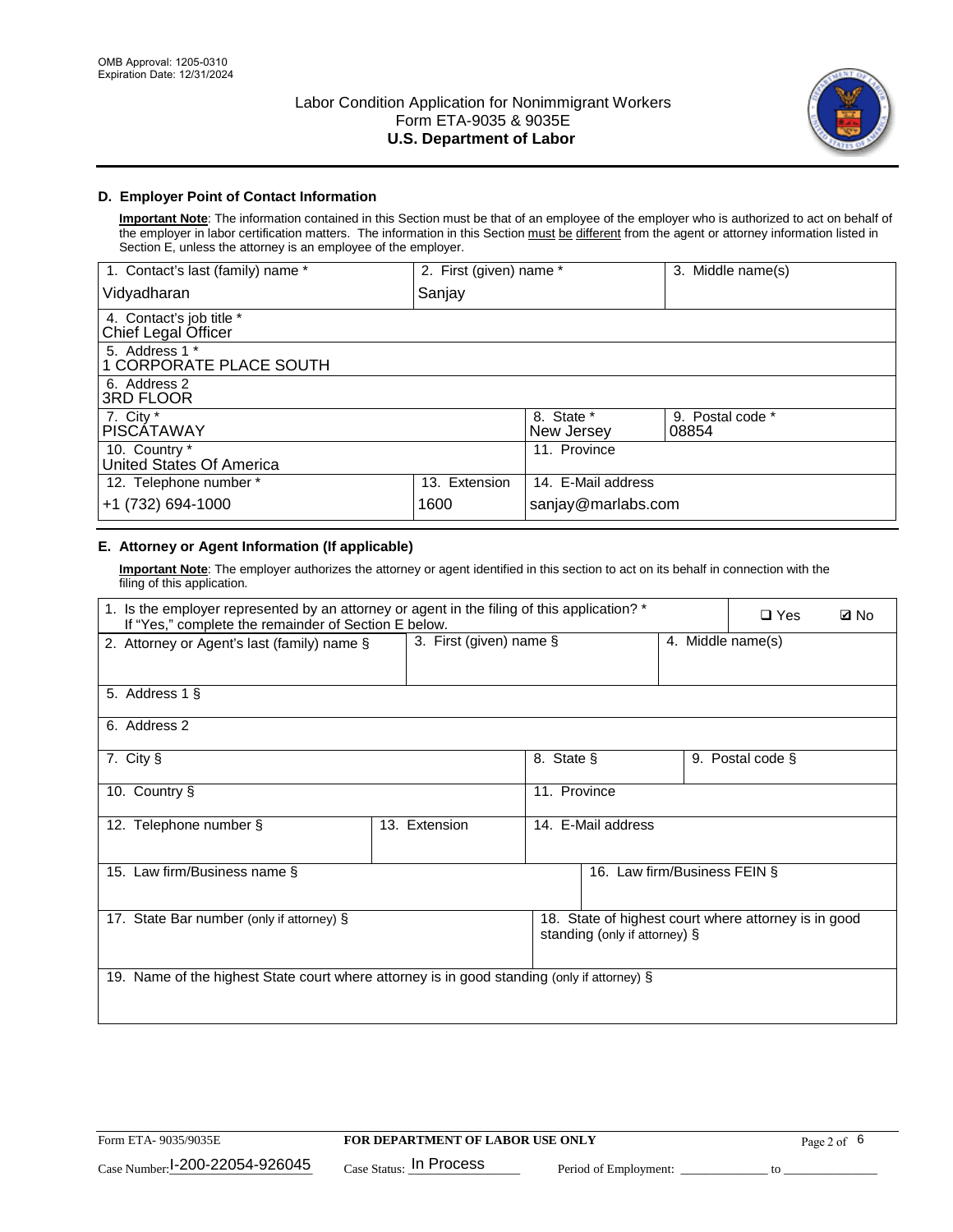

### **D. Employer Point of Contact Information**

**Important Note**: The information contained in this Section must be that of an employee of the employer who is authorized to act on behalf of the employer in labor certification matters. The information in this Section must be different from the agent or attorney information listed in Section E, unless the attorney is an employee of the employer.

| 1. Contact's last (family) name *               | 2. First (given) name * |                          | 3. Middle name(s)         |
|-------------------------------------------------|-------------------------|--------------------------|---------------------------|
| Vidyadharan                                     | Sanjay                  |                          |                           |
| 4. Contact's job title *<br>Chief Legal Officer |                         |                          |                           |
| 5. Address 1 *<br>1 CORPORATE PLACE SOUTH       |                         |                          |                           |
| 6. Address 2<br>3RD FLOOR                       |                         |                          |                           |
| 7. City $*$<br><b>PISCÁTAWAY</b>                |                         | 8. State *<br>New Jersey | 9. Postal code *<br>08854 |
| 10. Country *<br>United States Of America       |                         | 11. Province             |                           |
| 12. Telephone number *                          | 13. Extension           | 14. E-Mail address       |                           |
| +1 (732) 694-1000                               | 1600                    | sanjay@marlabs.com       |                           |

# **E. Attorney or Agent Information (If applicable)**

**Important Note**: The employer authorizes the attorney or agent identified in this section to act on its behalf in connection with the filing of this application.

| 1. Is the employer represented by an attorney or agent in the filing of this application? *<br>If "Yes," complete the remainder of Section E below. |                         |              |                               |                   | $\Box$ Yes                                           | <b>ØNo</b> |
|-----------------------------------------------------------------------------------------------------------------------------------------------------|-------------------------|--------------|-------------------------------|-------------------|------------------------------------------------------|------------|
| 2. Attorney or Agent's last (family) name §                                                                                                         | 3. First (given) name § |              |                               | 4. Middle name(s) |                                                      |            |
| 5. Address 1 §                                                                                                                                      |                         |              |                               |                   |                                                      |            |
| 6. Address 2                                                                                                                                        |                         |              |                               |                   |                                                      |            |
| 7. City §                                                                                                                                           |                         | 8. State §   |                               |                   | 9. Postal code §                                     |            |
| 10. Country §                                                                                                                                       |                         | 11. Province |                               |                   |                                                      |            |
| 12. Telephone number §                                                                                                                              | 13. Extension           |              | 14. E-Mail address            |                   |                                                      |            |
| 15. Law firm/Business name §                                                                                                                        |                         |              | 16. Law firm/Business FEIN §  |                   |                                                      |            |
| 17. State Bar number (only if attorney) §                                                                                                           |                         |              | standing (only if attorney) § |                   | 18. State of highest court where attorney is in good |            |
| 19. Name of the highest State court where attorney is in good standing (only if attorney) §                                                         |                         |              |                               |                   |                                                      |            |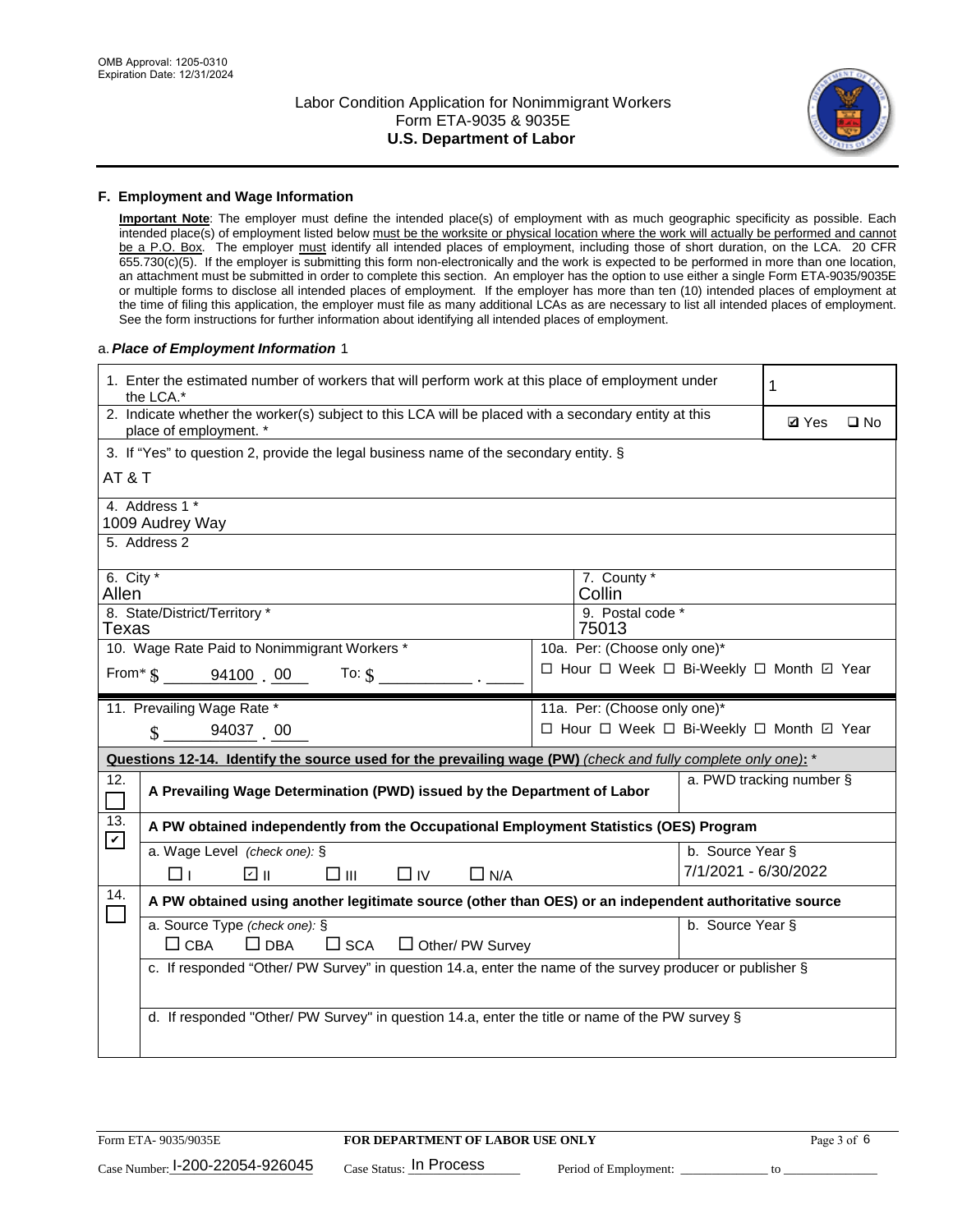

#### **F. Employment and Wage Information**

**Important Note**: The employer must define the intended place(s) of employment with as much geographic specificity as possible. Each intended place(s) of employment listed below must be the worksite or physical location where the work will actually be performed and cannot be a P.O. Box. The employer must identify all intended places of employment, including those of short duration, on the LCA. 20 CFR 655.730(c)(5). If the employer is submitting this form non-electronically and the work is expected to be performed in more than one location, an attachment must be submitted in order to complete this section. An employer has the option to use either a single Form ETA-9035/9035E or multiple forms to disclose all intended places of employment. If the employer has more than ten (10) intended places of employment at the time of filing this application, the employer must file as many additional LCAs as are necessary to list all intended places of employment. See the form instructions for further information about identifying all intended places of employment.

#### a.*Place of Employment Information* 1

| 1. Enter the estimated number of workers that will perform work at this place of employment under<br>the LCA.* |                                                                                                                                |  |                                          |                      | 1 |  |  |
|----------------------------------------------------------------------------------------------------------------|--------------------------------------------------------------------------------------------------------------------------------|--|------------------------------------------|----------------------|---|--|--|
|                                                                                                                | 2. Indicate whether the worker(s) subject to this LCA will be placed with a secondary entity at this<br>place of employment. * |  |                                          |                      |   |  |  |
|                                                                                                                | 3. If "Yes" to question 2, provide the legal business name of the secondary entity. §                                          |  |                                          |                      |   |  |  |
| AT & T                                                                                                         |                                                                                                                                |  |                                          |                      |   |  |  |
|                                                                                                                | 4. Address 1 *<br>1009 Audrey Way                                                                                              |  |                                          |                      |   |  |  |
|                                                                                                                | 5. Address 2                                                                                                                   |  |                                          |                      |   |  |  |
| 6. City $*$<br>Allen                                                                                           |                                                                                                                                |  | 7. County *<br>Collin                    |                      |   |  |  |
|                                                                                                                | 8. State/District/Territory *                                                                                                  |  | 9. Postal code *                         |                      |   |  |  |
| Texas                                                                                                          |                                                                                                                                |  | 75013                                    |                      |   |  |  |
|                                                                                                                | 10. Wage Rate Paid to Nonimmigrant Workers *                                                                                   |  | 10a. Per: (Choose only one)*             |                      |   |  |  |
|                                                                                                                | From $\frac{1}{5}$ 94100 00 To: $\frac{1}{5}$                                                                                  |  | □ Hour □ Week □ Bi-Weekly □ Month ☑ Year |                      |   |  |  |
|                                                                                                                | 11. Prevailing Wage Rate *                                                                                                     |  | 11a. Per: (Choose only one)*             |                      |   |  |  |
|                                                                                                                | 94037 00<br>$\mathcal{S}$                                                                                                      |  | □ Hour □ Week □ Bi-Weekly □ Month ☑ Year |                      |   |  |  |
|                                                                                                                | Questions 12-14. Identify the source used for the prevailing wage (PW) (check and fully complete only one): *                  |  |                                          |                      |   |  |  |
| 12.                                                                                                            | a. PWD tracking number §<br>A Prevailing Wage Determination (PWD) issued by the Department of Labor                            |  |                                          |                      |   |  |  |
| 13.<br>$\mathbf v$                                                                                             | A PW obtained independently from the Occupational Employment Statistics (OES) Program                                          |  |                                          |                      |   |  |  |
|                                                                                                                | a. Wage Level (check one): §                                                                                                   |  |                                          | b. Source Year §     |   |  |  |
|                                                                                                                | ו ⊡<br>$\square$ $\square$<br>⊓⊥<br>$\Box$ IV<br>$\Box$ N/A                                                                    |  |                                          | 7/1/2021 - 6/30/2022 |   |  |  |
| 14.                                                                                                            | A PW obtained using another legitimate source (other than OES) or an independent authoritative source                          |  |                                          |                      |   |  |  |
|                                                                                                                | a. Source Type (check one): §                                                                                                  |  |                                          | b. Source Year §     |   |  |  |
|                                                                                                                | $\Box$ CBA<br>$\Box$ DBA<br>$\square$ SCA<br>$\Box$ Other/ PW Survey                                                           |  |                                          |                      |   |  |  |
|                                                                                                                | c. If responded "Other/ PW Survey" in question 14.a, enter the name of the survey producer or publisher §                      |  |                                          |                      |   |  |  |
|                                                                                                                |                                                                                                                                |  |                                          |                      |   |  |  |
|                                                                                                                | d. If responded "Other/ PW Survey" in question 14.a, enter the title or name of the PW survey §                                |  |                                          |                      |   |  |  |
|                                                                                                                |                                                                                                                                |  |                                          |                      |   |  |  |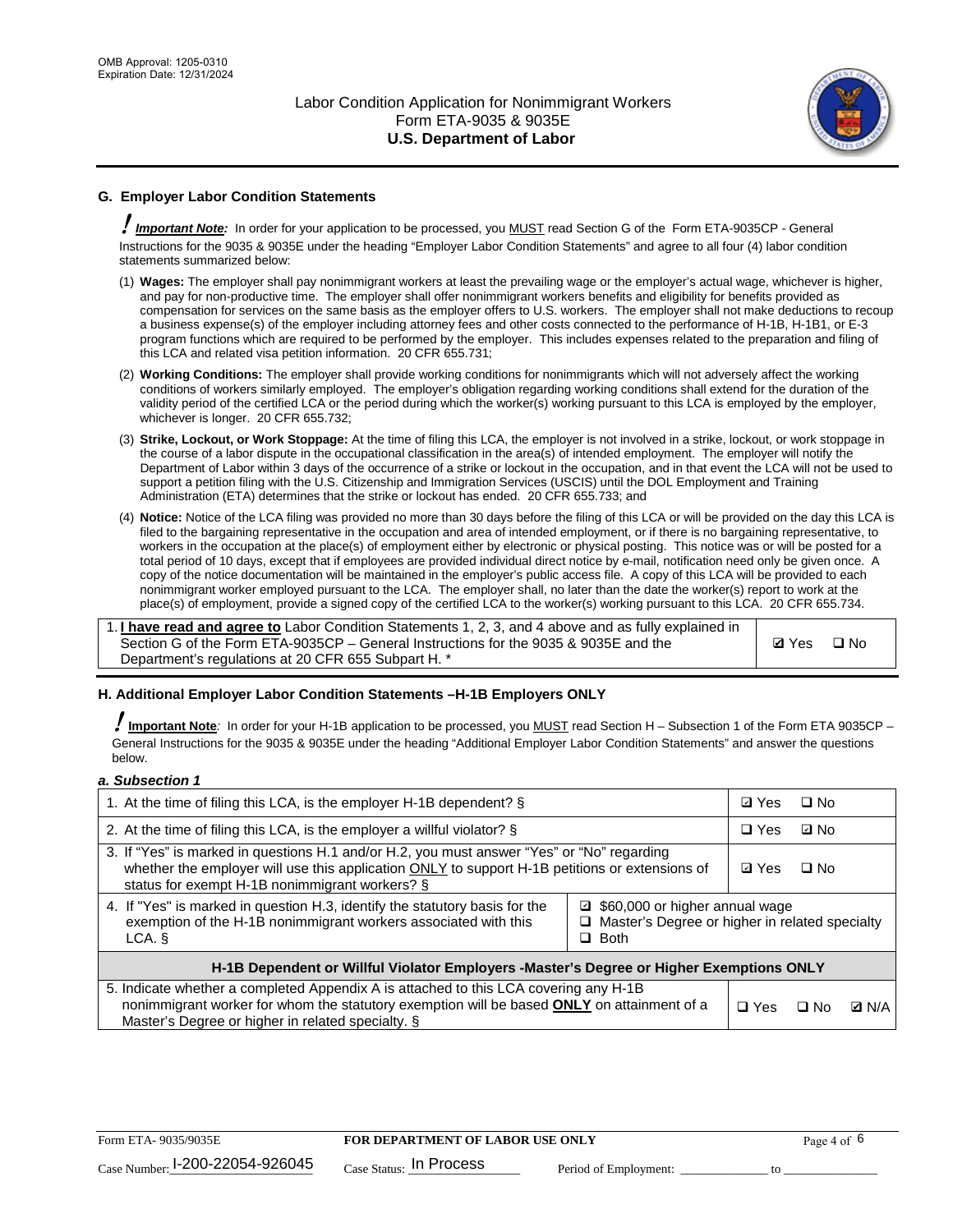

# **G. Employer Labor Condition Statements**

! *Important Note:* In order for your application to be processed, you MUST read Section G of the Form ETA-9035CP - General Instructions for the 9035 & 9035E under the heading "Employer Labor Condition Statements" and agree to all four (4) labor condition statements summarized below:

- (1) **Wages:** The employer shall pay nonimmigrant workers at least the prevailing wage or the employer's actual wage, whichever is higher, and pay for non-productive time. The employer shall offer nonimmigrant workers benefits and eligibility for benefits provided as compensation for services on the same basis as the employer offers to U.S. workers. The employer shall not make deductions to recoup a business expense(s) of the employer including attorney fees and other costs connected to the performance of H-1B, H-1B1, or E-3 program functions which are required to be performed by the employer. This includes expenses related to the preparation and filing of this LCA and related visa petition information. 20 CFR 655.731;
- (2) **Working Conditions:** The employer shall provide working conditions for nonimmigrants which will not adversely affect the working conditions of workers similarly employed. The employer's obligation regarding working conditions shall extend for the duration of the validity period of the certified LCA or the period during which the worker(s) working pursuant to this LCA is employed by the employer, whichever is longer. 20 CFR 655.732;
- (3) **Strike, Lockout, or Work Stoppage:** At the time of filing this LCA, the employer is not involved in a strike, lockout, or work stoppage in the course of a labor dispute in the occupational classification in the area(s) of intended employment. The employer will notify the Department of Labor within 3 days of the occurrence of a strike or lockout in the occupation, and in that event the LCA will not be used to support a petition filing with the U.S. Citizenship and Immigration Services (USCIS) until the DOL Employment and Training Administration (ETA) determines that the strike or lockout has ended. 20 CFR 655.733; and
- (4) **Notice:** Notice of the LCA filing was provided no more than 30 days before the filing of this LCA or will be provided on the day this LCA is filed to the bargaining representative in the occupation and area of intended employment, or if there is no bargaining representative, to workers in the occupation at the place(s) of employment either by electronic or physical posting. This notice was or will be posted for a total period of 10 days, except that if employees are provided individual direct notice by e-mail, notification need only be given once. A copy of the notice documentation will be maintained in the employer's public access file. A copy of this LCA will be provided to each nonimmigrant worker employed pursuant to the LCA. The employer shall, no later than the date the worker(s) report to work at the place(s) of employment, provide a signed copy of the certified LCA to the worker(s) working pursuant to this LCA. 20 CFR 655.734.

1. **I have read and agree to** Labor Condition Statements 1, 2, 3, and 4 above and as fully explained in Section G of the Form ETA-9035CP – General Instructions for the 9035 & 9035E and the Department's regulations at 20 CFR 655 Subpart H. \*

**Ø**Yes ロNo

### **H. Additional Employer Labor Condition Statements –H-1B Employers ONLY**

!**Important Note***:* In order for your H-1B application to be processed, you MUST read Section H – Subsection 1 of the Form ETA 9035CP – General Instructions for the 9035 & 9035E under the heading "Additional Employer Labor Condition Statements" and answer the questions below.

#### *a. Subsection 1*

| 1. At the time of filing this LCA, is the employer H-1B dependent? §                                                                                                                                                                                          |  |  | $\square$ No |              |
|---------------------------------------------------------------------------------------------------------------------------------------------------------------------------------------------------------------------------------------------------------------|--|--|--------------|--------------|
| 2. At the time of filing this LCA, is the employer a willful violator? $\S$                                                                                                                                                                                   |  |  | ⊡ No         |              |
| 3. If "Yes" is marked in questions H.1 and/or H.2, you must answer "Yes" or "No" regarding<br>whether the employer will use this application ONLY to support H-1B petitions or extensions of<br>status for exempt H-1B nonimmigrant workers? §                |  |  | $\Box$ No    |              |
| 4. If "Yes" is marked in question H.3, identify the statutory basis for the<br>■ \$60,000 or higher annual wage<br>exemption of the H-1B nonimmigrant workers associated with this<br>□ Master's Degree or higher in related specialty<br>$\Box$ Both<br>LCA. |  |  |              |              |
| H-1B Dependent or Willful Violator Employers -Master's Degree or Higher Exemptions ONLY                                                                                                                                                                       |  |  |              |              |
| 5. Indicate whether a completed Appendix A is attached to this LCA covering any H-1B<br>nonimmigrant worker for whom the statutory exemption will be based <b>ONLY</b> on attainment of a<br>Master's Degree or higher in related specialty. §                |  |  | ⊡ No         | <b>D</b> N/A |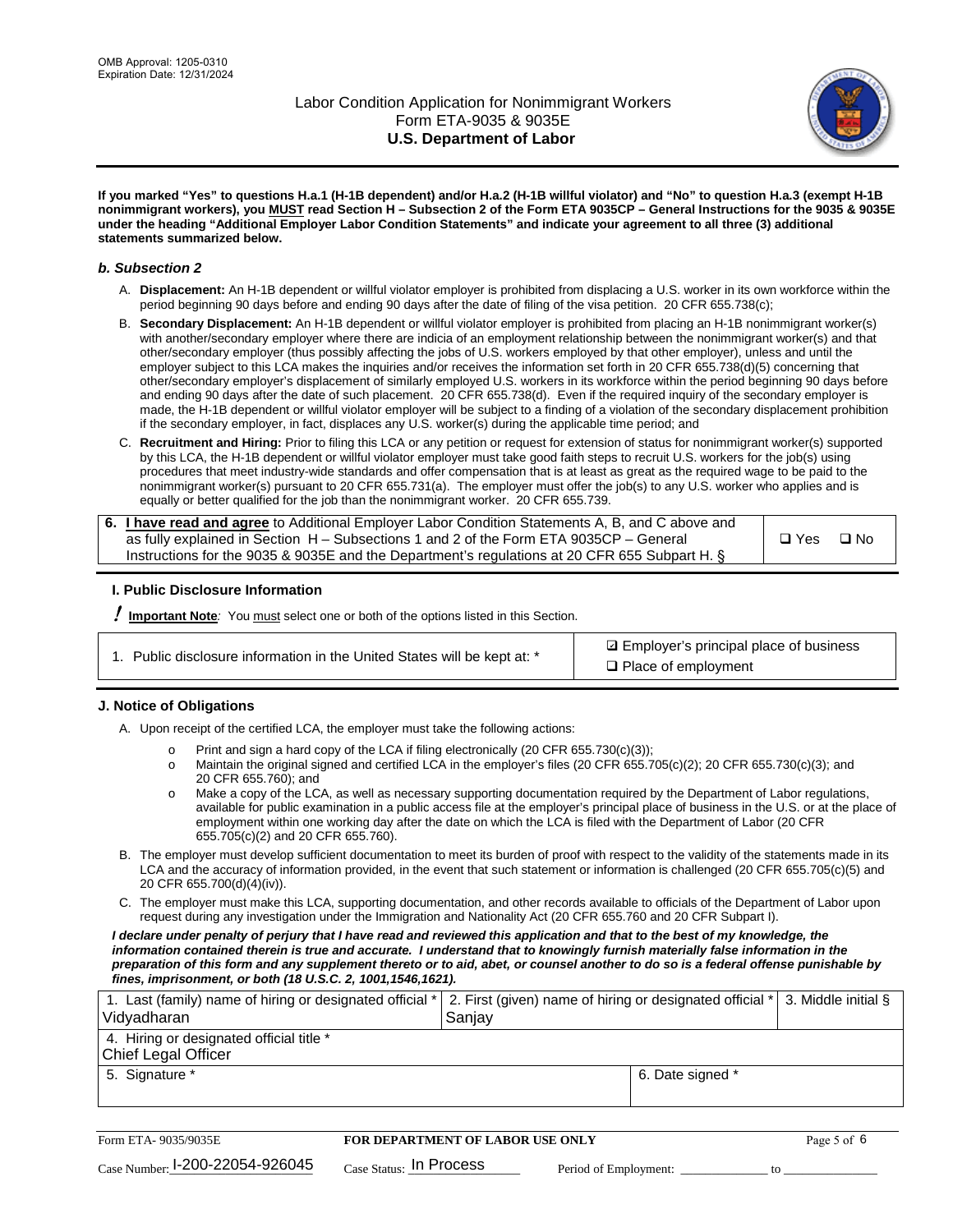

**If you marked "Yes" to questions H.a.1 (H-1B dependent) and/or H.a.2 (H-1B willful violator) and "No" to question H.a.3 (exempt H-1B nonimmigrant workers), you MUST read Section H – Subsection 2 of the Form ETA 9035CP – General Instructions for the 9035 & 9035E under the heading "Additional Employer Labor Condition Statements" and indicate your agreement to all three (3) additional statements summarized below.**

#### *b. Subsection 2*

- A. **Displacement:** An H-1B dependent or willful violator employer is prohibited from displacing a U.S. worker in its own workforce within the period beginning 90 days before and ending 90 days after the date of filing of the visa petition. 20 CFR 655.738(c);
- B. **Secondary Displacement:** An H-1B dependent or willful violator employer is prohibited from placing an H-1B nonimmigrant worker(s) with another/secondary employer where there are indicia of an employment relationship between the nonimmigrant worker(s) and that other/secondary employer (thus possibly affecting the jobs of U.S. workers employed by that other employer), unless and until the employer subject to this LCA makes the inquiries and/or receives the information set forth in 20 CFR 655.738(d)(5) concerning that other/secondary employer's displacement of similarly employed U.S. workers in its workforce within the period beginning 90 days before and ending 90 days after the date of such placement. 20 CFR 655.738(d). Even if the required inquiry of the secondary employer is made, the H-1B dependent or willful violator employer will be subject to a finding of a violation of the secondary displacement prohibition if the secondary employer, in fact, displaces any U.S. worker(s) during the applicable time period; and
- C. **Recruitment and Hiring:** Prior to filing this LCA or any petition or request for extension of status for nonimmigrant worker(s) supported by this LCA, the H-1B dependent or willful violator employer must take good faith steps to recruit U.S. workers for the job(s) using procedures that meet industry-wide standards and offer compensation that is at least as great as the required wage to be paid to the nonimmigrant worker(s) pursuant to 20 CFR 655.731(a). The employer must offer the job(s) to any U.S. worker who applies and is equally or better qualified for the job than the nonimmigrant worker. 20 CFR 655.739.

| 6. I have read and agree to Additional Employer Labor Condition Statements A, B, and C above and |               |           |
|--------------------------------------------------------------------------------------------------|---------------|-----------|
| as fully explained in Section H – Subsections 1 and 2 of the Form ETA 9035CP – General           | $\square$ Yes | $\Box$ No |
| Instructions for the 9035 & 9035 E and the Department's regulations at 20 CFR 655 Subpart H. §   |               |           |

### **I. Public Disclosure Information**

! **Important Note***:* You must select one or both of the options listed in this Section.

**sqrt** Employer's principal place of business □ Place of employment

### **J. Notice of Obligations**

A. Upon receipt of the certified LCA, the employer must take the following actions:

- o Print and sign a hard copy of the LCA if filing electronically (20 CFR 655.730(c)(3));<br>
Maintain the original signed and certified LCA in the employer's files (20 CFR 655.7
- Maintain the original signed and certified LCA in the employer's files (20 CFR 655.705(c)(2); 20 CFR 655.730(c)(3); and 20 CFR 655.760); and
- o Make a copy of the LCA, as well as necessary supporting documentation required by the Department of Labor regulations, available for public examination in a public access file at the employer's principal place of business in the U.S. or at the place of employment within one working day after the date on which the LCA is filed with the Department of Labor (20 CFR 655.705(c)(2) and 20 CFR 655.760).
- B. The employer must develop sufficient documentation to meet its burden of proof with respect to the validity of the statements made in its LCA and the accuracy of information provided, in the event that such statement or information is challenged (20 CFR 655.705(c)(5) and 20 CFR 655.700(d)(4)(iv)).
- C. The employer must make this LCA, supporting documentation, and other records available to officials of the Department of Labor upon request during any investigation under the Immigration and Nationality Act (20 CFR 655.760 and 20 CFR Subpart I).

*I declare under penalty of perjury that I have read and reviewed this application and that to the best of my knowledge, the*  information contained therein is true and accurate. I understand that to knowingly furnish materially false information in the *preparation of this form and any supplement thereto or to aid, abet, or counsel another to do so is a federal offense punishable by fines, imprisonment, or both (18 U.S.C. 2, 1001,1546,1621).*

| 1. Last (family) name of hiring or designated official *   2. First (given) name of hiring or designated official *   3. Middle initial §<br>Vidyadharan | Saniav           |  |
|----------------------------------------------------------------------------------------------------------------------------------------------------------|------------------|--|
| 4. Hiring or designated official title *<br>Chief Legal Officer                                                                                          |                  |  |
| 5. Signature *                                                                                                                                           | 6. Date signed * |  |

| Form ETA-9035/9035E                         | <b>FOR DEPARTMENT OF LABOR USE ONLY</b> |                       |  |
|---------------------------------------------|-----------------------------------------|-----------------------|--|
| $_{\text{Case Number:}}$ I-200-22054-926045 | $_{\rm Case~S status:}$ In Process      | Period of Employment: |  |